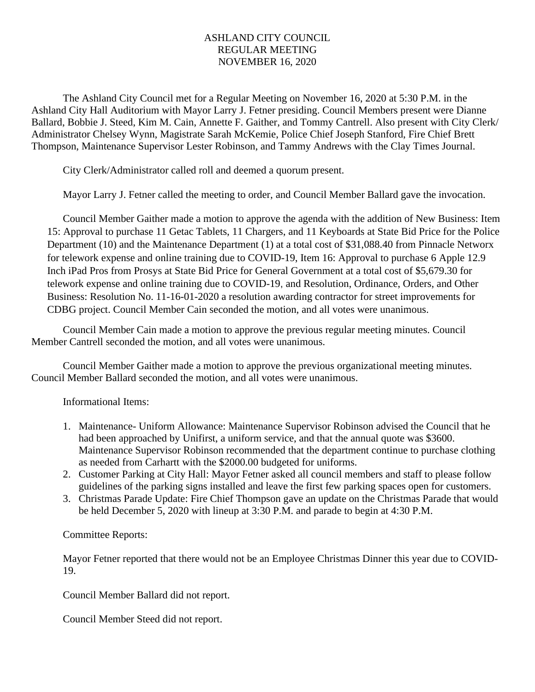## ASHLAND CITY COUNCIL REGULAR MEETING NOVEMBER 16, 2020

The Ashland City Council met for a Regular Meeting on November 16, 2020 at 5:30 P.M. in the Ashland City Hall Auditorium with Mayor Larry J. Fetner presiding. Council Members present were Dianne Ballard, Bobbie J. Steed, Kim M. Cain, Annette F. Gaither, and Tommy Cantrell. Also present with City Clerk/ Administrator Chelsey Wynn, Magistrate Sarah McKemie, Police Chief Joseph Stanford, Fire Chief Brett Thompson, Maintenance Supervisor Lester Robinson, and Tammy Andrews with the Clay Times Journal.

City Clerk/Administrator called roll and deemed a quorum present.

Mayor Larry J. Fetner called the meeting to order, and Council Member Ballard gave the invocation.

Council Member Gaither made a motion to approve the agenda with the addition of New Business: Item 15: Approval to purchase 11 Getac Tablets, 11 Chargers, and 11 Keyboards at State Bid Price for the Police Department (10) and the Maintenance Department (1) at a total cost of \$31,088.40 from Pinnacle Networx for telework expense and online training due to COVID-19, Item 16: Approval to purchase 6 Apple 12.9 Inch iPad Pros from Prosys at State Bid Price for General Government at a total cost of \$5,679.30 for telework expense and online training due to COVID-19, and Resolution, Ordinance, Orders, and Other Business: Resolution No. 11-16-01-2020 a resolution awarding contractor for street improvements for CDBG project. Council Member Cain seconded the motion, and all votes were unanimous.

Council Member Cain made a motion to approve the previous regular meeting minutes. Council Member Cantrell seconded the motion, and all votes were unanimous.

Council Member Gaither made a motion to approve the previous organizational meeting minutes. Council Member Ballard seconded the motion, and all votes were unanimous.

Informational Items:

- 1. Maintenance- Uniform Allowance: Maintenance Supervisor Robinson advised the Council that he had been approached by Unifirst, a uniform service, and that the annual quote was \$3600. Maintenance Supervisor Robinson recommended that the department continue to purchase clothing as needed from Carhartt with the \$2000.00 budgeted for uniforms.
- 2. Customer Parking at City Hall: Mayor Fetner asked all council members and staff to please follow guidelines of the parking signs installed and leave the first few parking spaces open for customers.
- 3. Christmas Parade Update: Fire Chief Thompson gave an update on the Christmas Parade that would be held December 5, 2020 with lineup at 3:30 P.M. and parade to begin at 4:30 P.M.

Committee Reports:

Mayor Fetner reported that there would not be an Employee Christmas Dinner this year due to COVID-19.

Council Member Ballard did not report.

Council Member Steed did not report.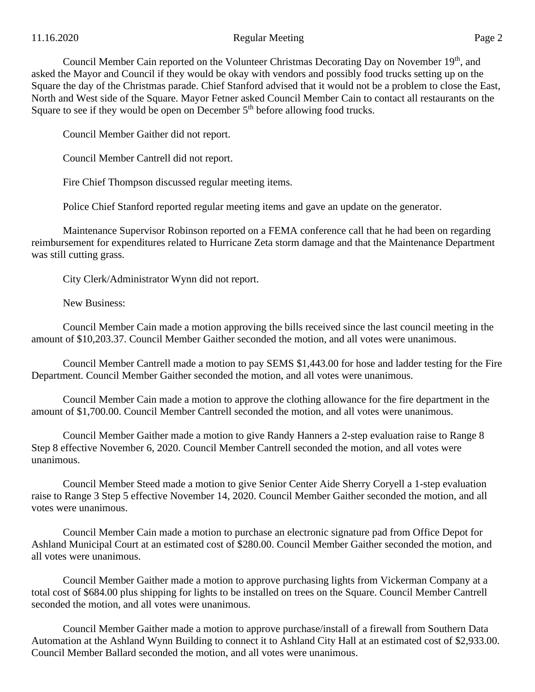## 11.16.2020 Page 2

Council Member Cain reported on the Volunteer Christmas Decorating Day on November 19<sup>th</sup>, and asked the Mayor and Council if they would be okay with vendors and possibly food trucks setting up on the Square the day of the Christmas parade. Chief Stanford advised that it would not be a problem to close the East, North and West side of the Square. Mayor Fetner asked Council Member Cain to contact all restaurants on the Square to see if they would be open on December  $5<sup>th</sup>$  before allowing food trucks.

Council Member Gaither did not report.

Council Member Cantrell did not report.

Fire Chief Thompson discussed regular meeting items.

Police Chief Stanford reported regular meeting items and gave an update on the generator.

Maintenance Supervisor Robinson reported on a FEMA conference call that he had been on regarding reimbursement for expenditures related to Hurricane Zeta storm damage and that the Maintenance Department was still cutting grass.

City Clerk/Administrator Wynn did not report.

New Business:

Council Member Cain made a motion approving the bills received since the last council meeting in the amount of \$10,203.37. Council Member Gaither seconded the motion, and all votes were unanimous.

Council Member Cantrell made a motion to pay SEMS \$1,443.00 for hose and ladder testing for the Fire Department. Council Member Gaither seconded the motion, and all votes were unanimous.

Council Member Cain made a motion to approve the clothing allowance for the fire department in the amount of \$1,700.00. Council Member Cantrell seconded the motion, and all votes were unanimous.

Council Member Gaither made a motion to give Randy Hanners a 2-step evaluation raise to Range 8 Step 8 effective November 6, 2020. Council Member Cantrell seconded the motion, and all votes were unanimous.

Council Member Steed made a motion to give Senior Center Aide Sherry Coryell a 1-step evaluation raise to Range 3 Step 5 effective November 14, 2020. Council Member Gaither seconded the motion, and all votes were unanimous.

Council Member Cain made a motion to purchase an electronic signature pad from Office Depot for Ashland Municipal Court at an estimated cost of \$280.00. Council Member Gaither seconded the motion, and all votes were unanimous.

Council Member Gaither made a motion to approve purchasing lights from Vickerman Company at a total cost of \$684.00 plus shipping for lights to be installed on trees on the Square. Council Member Cantrell seconded the motion, and all votes were unanimous.

Council Member Gaither made a motion to approve purchase/install of a firewall from Southern Data Automation at the Ashland Wynn Building to connect it to Ashland City Hall at an estimated cost of \$2,933.00. Council Member Ballard seconded the motion, and all votes were unanimous.